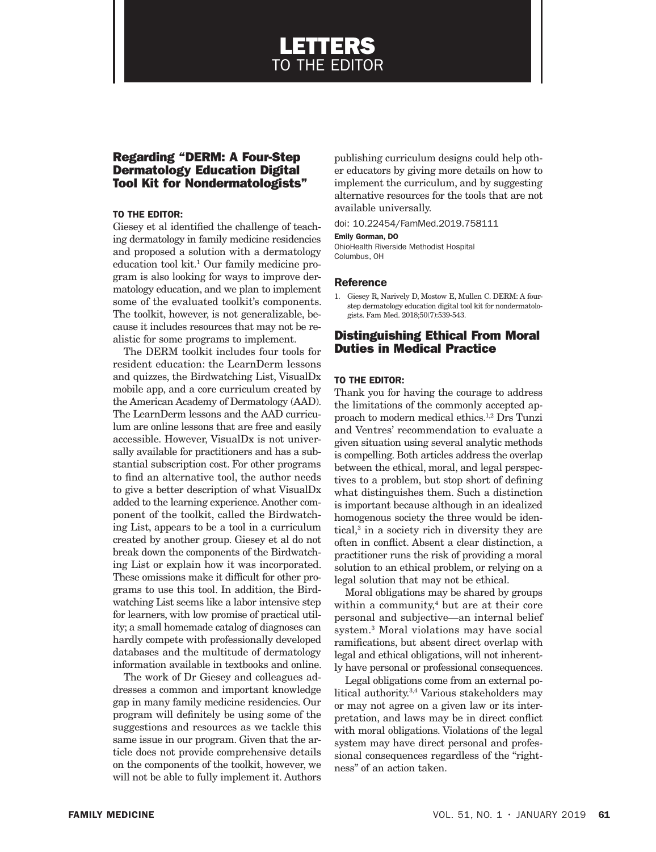# LETTERS TO THE EDITOR

# Regarding "DERM: A Four-Step Dermatology Education Digital Tool Kit for Nondermatologists"

## TO THE EDITOR:

Giesey et al identified the challenge of teaching dermatology in family medicine residencies and proposed a solution with a dermatology education tool kit.1 Our family medicine program is also looking for ways to improve dermatology education, and we plan to implement some of the evaluated toolkit's components. The toolkit, however, is not generalizable, because it includes resources that may not be realistic for some programs to implement.

The DERM toolkit includes four tools for resident education: the LearnDerm lessons and quizzes, the Birdwatching List, VisualDx mobile app, and a core curriculum created by the American Academy of Dermatology (AAD). The LearnDerm lessons and the AAD curriculum are online lessons that are free and easily accessible. However, VisualDx is not universally available for practitioners and has a substantial subscription cost. For other programs to find an alternative tool, the author needs to give a better description of what VisualDx added to the learning experience. Another component of the toolkit, called the Birdwatching List, appears to be a tool in a curriculum created by another group. Giesey et al do not break down the components of the Birdwatching List or explain how it was incorporated. These omissions make it difficult for other programs to use this tool. In addition, the Birdwatching List seems like a labor intensive step for learners, with low promise of practical utility; a small homemade catalog of diagnoses can hardly compete with professionally developed databases and the multitude of dermatology information available in textbooks and online.

The work of Dr Giesey and colleagues addresses a common and important knowledge gap in many family medicine residencies. Our program will definitely be using some of the suggestions and resources as we tackle this same issue in our program. Given that the article does not provide comprehensive details on the components of the toolkit, however, we will not be able to fully implement it. Authors

publishing curriculum designs could help other educators by giving more details on how to implement the curriculum, and by suggesting alternative resources for the tools that are not available universally.

doi: 10.22454/FamMed.2019.758111

#### Emily Gorman, DO

OhioHealth Riverside Methodist Hospital Columbus, OH

#### **Reference**

1. Giesey R, Narively D, Mostow E, Mullen C. DERM: A fourstep dermatology education digital tool kit for nondermatologists. Fam Med. 2018;50(7):539-543.

# Distinguishing Ethical From Moral Duties in Medical Practice

## TO THE EDITOR:

Thank you for having the courage to address the limitations of the commonly accepted approach to modern medical ethics.1,2 Drs Tunzi and Ventres' recommendation to evaluate a given situation using several analytic methods is compelling. Both articles address the overlap between the ethical, moral, and legal perspectives to a problem, but stop short of defining what distinguishes them. Such a distinction is important because although in an idealized homogenous society the three would be identical,<sup>3</sup> in a society rich in diversity they are often in conflict. Absent a clear distinction, a practitioner runs the risk of providing a moral solution to an ethical problem, or relying on a legal solution that may not be ethical.

Moral obligations may be shared by groups within a community,<sup>4</sup> but are at their core personal and subjective—an internal belief system.3 Moral violations may have social ramifications, but absent direct overlap with legal and ethical obligations, will not inherently have personal or professional consequences.

Legal obligations come from an external political authority.3,4 Various stakeholders may or may not agree on a given law or its interpretation, and laws may be in direct conflict with moral obligations. Violations of the legal system may have direct personal and professional consequences regardless of the "rightness" of an action taken.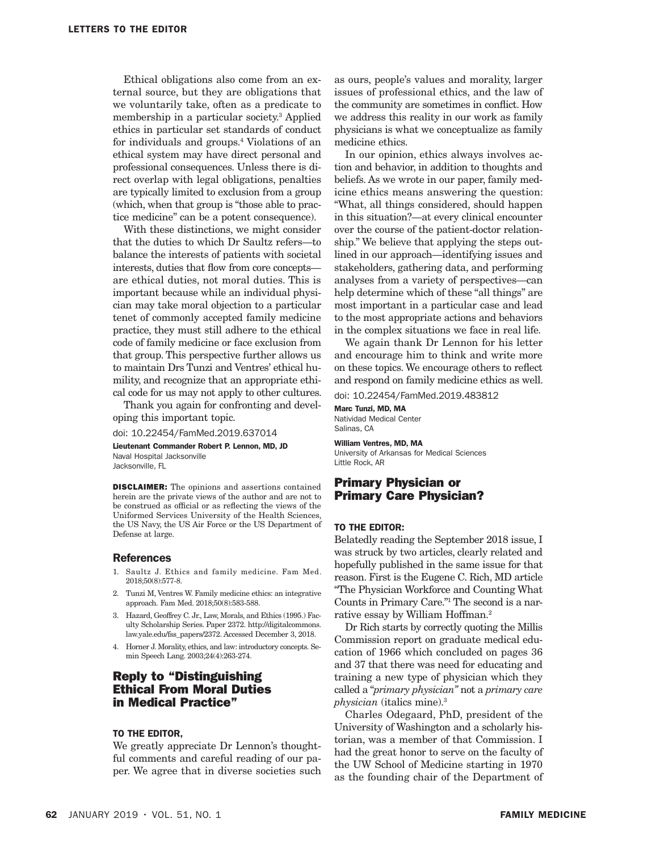Ethical obligations also come from an external source, but they are obligations that we voluntarily take, often as a predicate to membership in a particular society.3 Applied ethics in particular set standards of conduct for individuals and groups.4 Violations of an ethical system may have direct personal and professional consequences. Unless there is direct overlap with legal obligations, penalties are typically limited to exclusion from a group (which, when that group is "those able to practice medicine" can be a potent consequence).

With these distinctions, we might consider that the duties to which Dr Saultz refers—to balance the interests of patients with societal interests, duties that flow from core concepts are ethical duties, not moral duties. This is important because while an individual physician may take moral objection to a particular tenet of commonly accepted family medicine practice, they must still adhere to the ethical code of family medicine or face exclusion from that group. This perspective further allows us to maintain Drs Tunzi and Ventres' ethical humility, and recognize that an appropriate ethical code for us may not apply to other cultures.

Thank you again for confronting and developing this important topic.

doi: 10.22454/FamMed.2019.637014

Lieutenant Commander Robert P. Lennon, MD, JD Naval Hospital Jacksonville Jacksonville, FL

DISCLAIMER: The opinions and assertions contained

herein are the private views of the author and are not to be construed as official or as reflecting the views of the Uniformed Services University of the Health Sciences, the US Navy, the US Air Force or the US Department of Defense at large.

### References

- 1. Saultz J. Ethics and family medicine. Fam Med. 2018;50(8):577-8.
- 2. Tunzi M, Ventres W. Family medicine ethics: an integrative approach. Fam Med. 2018;50(8):583-588.
- 3. Hazard, Geoffrey C. Jr., Law, Morals, and Ethics (1995.) Faculty Scholarship Series. Paper 2372. http://digitalcommons. law.yale.edu/fss\_papers/2372. Accessed December 3, 2018.
- 4. Horner J. Morality, ethics, and law: introductory concepts. Semin Speech Lang. 2003;24(4):263-274.

# Reply to "Distinguishing Ethical From Moral Duties in Medical Practice"

### TO THE EDITOR,

We greatly appreciate Dr Lennon's thoughtful comments and careful reading of our paper. We agree that in diverse societies such as ours, people's values and morality, larger issues of professional ethics, and the law of the community are sometimes in conflict. How we address this reality in our work as family physicians is what we conceptualize as family medicine ethics.

In our opinion, ethics always involves action and behavior, in addition to thoughts and beliefs. As we wrote in our paper, family medicine ethics means answering the question: "What, all things considered, should happen in this situation?—at every clinical encounter over the course of the patient-doctor relationship." We believe that applying the steps outlined in our approach—identifying issues and stakeholders, gathering data, and performing analyses from a variety of perspectives—can help determine which of these "all things" are most important in a particular case and lead to the most appropriate actions and behaviors in the complex situations we face in real life.

We again thank Dr Lennon for his letter and encourage him to think and write more on these topics. We encourage others to reflect and respond on family medicine ethics as well.

doi: 10.22454/FamMed.2019.483812

Marc Tunzi, MD, MA Natividad Medical Center Salinas, CA

#### William Ventres, MD, MA

University of Arkansas for Medical Sciences Little Rock, AR

# Primary Physician or Primary Care Physician?

#### TO THE EDITOR:

Belatedly reading the September 2018 issue, I was struck by two articles, clearly related and hopefully published in the same issue for that reason. First is the Eugene C. Rich, MD article "The Physician Workforce and Counting What Counts in Primary Care."1 The second is a narrative essay by William Hoffman.2

Dr Rich starts by correctly quoting the Millis Commission report on graduate medical education of 1966 which concluded on pages 36 and 37 that there was need for educating and training a new type of physician which they called a "*primary physician"* not a *primary care physician* (italics mine).3

Charles Odegaard, PhD, president of the University of Washington and a scholarly historian, was a member of that Commission. I had the great honor to serve on the faculty of the UW School of Medicine starting in 1970 as the founding chair of the Department of